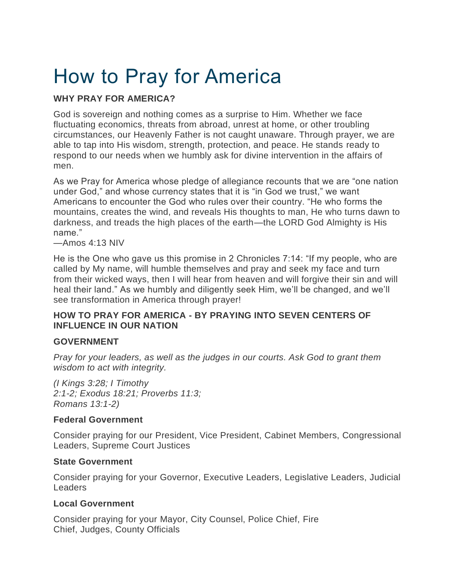# How to Pray for America

# **WHY PRAY FOR AMERICA?**

God is sovereign and nothing comes as a surprise to Him. Whether we face fluctuating economics, threats from abroad, unrest at home, or other troubling circumstances, our Heavenly Father is not caught unaware. Through prayer, we are able to tap into His wisdom, strength, protection, and peace. He stands ready to respond to our needs when we humbly ask for divine intervention in the affairs of men.

As we Pray for America whose pledge of allegiance recounts that we are "one nation under God," and whose currency states that it is "in God we trust," we want Americans to encounter the God who rules over their country. "He who forms the mountains, creates the wind, and reveals His thoughts to man, He who turns dawn to darkness, and treads the high places of the earth—the LORD God Almighty is His name."

—Amos 4:13 NIV

He is the One who gave us this promise in 2 Chronicles 7:14: "If my people, who are called by My name, will humble themselves and pray and seek my face and turn from their wicked ways, then I will hear from heaven and will forgive their sin and will heal their land." As we humbly and diligently seek Him, we'll be changed, and we'll see transformation in America through prayer!

#### **HOW TO PRAY FOR AMERICA - BY PRAYING INTO SEVEN CENTERS OF INFLUENCE IN OUR NATION**

# **GOVERNMENT**

*Pray for your leaders, as well as the judges in our courts. Ask God to grant them wisdom to act with integrity.*

*(I Kings 3:28; I Timothy 2:1-2; Exodus 18:21; Proverbs 11:3; Romans 13:1-2)*

#### **Federal Government**

Consider praying for our President, Vice President, Cabinet Members, Congressional Leaders, Supreme Court Justices

#### **State Government**

Consider praying for your Governor, Executive Leaders, Legislative Leaders, Judicial Leaders

#### **Local Government**

Consider praying for your Mayor, City Counsel, Police Chief, Fire Chief, Judges, County Officials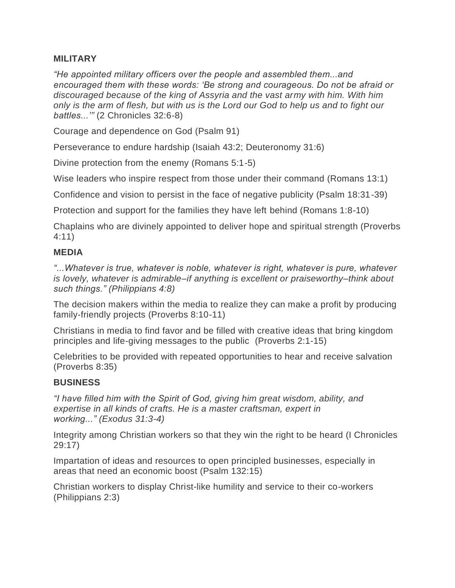#### **MILITARY**

*"He appointed military officers over the people and assembled them...and encouraged them with these words: 'Be strong and courageous. Do not be afraid or discouraged because of the king of Assyria and the vast army with him. With him only is the arm of flesh, but with us is the Lord our God to help us and to fight our battles...'"* (2 Chronicles 32:6-8)

Courage and dependence on God (Psalm 91)

Perseverance to endure hardship (Isaiah 43:2; Deuteronomy 31:6)

Divine protection from the enemy (Romans 5:1-5)

Wise leaders who inspire respect from those under their command (Romans 13:1)

Confidence and vision to persist in the face of negative publicity (Psalm 18:31-39)

Protection and support for the families they have left behind (Romans 1:8-10)

Chaplains who are divinely appointed to deliver hope and spiritual strength (Proverbs 4:11)

#### **MEDIA**

*"...Whatever is true, whatever is noble, whatever is right, whatever is pure, whatever is lovely, whatever is admirable–if anything is excellent or praiseworthy–think about such things." (Philippians 4:8)*

The decision makers within the media to realize they can make a profit by producing family-friendly projects (Proverbs 8:10-11)

Christians in media to find favor and be filled with creative ideas that bring kingdom principles and life-giving messages to the public (Proverbs 2:1-15)

Celebrities to be provided with repeated opportunities to hear and receive salvation (Proverbs 8:35)

# **BUSINESS**

*"I have filled him with the Spirit of God, giving him great wisdom, ability, and expertise in all kinds of crafts. He is a master craftsman, expert in working..." (Exodus 31:3-4)*

Integrity among Christian workers so that they win the right to be heard (I Chronicles 29:17)

Impartation of ideas and resources to open principled businesses, especially in areas that need an economic boost (Psalm 132:15)

Christian workers to display Christ-like humility and service to their co-workers (Philippians 2:3)